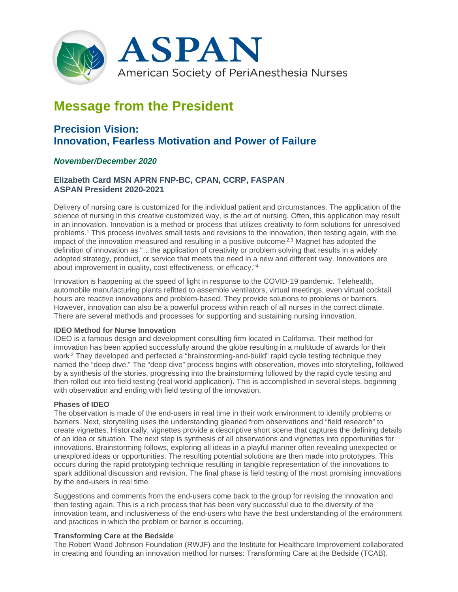

# **Message from the President**

# **Precision Vision: Innovation, Fearless Motivation and Power of Failure**

# *November/December 2020*

# **Elizabeth Card MSN APRN FNP-BC, CPAN, CCRP, FASPAN ASPAN President 2020-2021**

Delivery of nursing care is customized for the individual patient and circumstances. The application of the science of nursing in this creative customized way, is the art of nursing. Often, this application may result in an innovation. Innovation is a method or process that utilizes creativity to form solutions for unresolved problems.1 This process involves small tests and revisions to the innovation, then testing again, with the impact of the innovation measured and resulting in a positive outcome<sup>2,3</sup> Magnet has adopted the definition of innovation as "…the application of creativity or problem solving that results in a widely adopted strategy, product, or service that meets the need in a new and different way. Innovations are about improvement in quality, cost effectiveness, or efficacy."4

Innovation is happening at the speed of light in response to the COVID-19 pandemic. Telehealth, automobile manufacturing plants refitted to assemble ventilators, virtual meetings, even virtual cocktail hours are reactive innovations and problem-based. They provide solutions to problems or barriers. However, innovation can also be a powerful process within reach of all nurses in the correct climate. There are several methods and processes for supporting and sustaining nursing innovation.

# **IDEO Method for Nurse Innovation**

IDEO is a famous design and development consulting firm located in California. Their method for innovation has been applied successfully around the globe resulting in a multitude of awards for their work.<sup>2</sup> They developed and perfected a "brainstorming-and-build" rapid cycle testing technique they named the "deep dive." The "deep dive" process begins with observation, moves into storytelling, followed by a synthesis of the stories, progressing into the brainstorming followed by the rapid cycle testing and then rolled out into field testing (real world application). This is accomplished in several steps, beginning with observation and ending with field testing of the innovation.

#### **Phases of IDEO**

The observation is made of the end-users in real time in their work environment to identify problems or barriers. Next, storytelling uses the understanding gleaned from observations and "field research" to create vignettes. Historically, vignettes provide a descriptive short scene that captures the defining details of an idea or situation. The next step is synthesis of all observations and vignettes into opportunities for innovations. Brainstorming follows, exploring all ideas in a playful manner often revealing unexpected or unexplored ideas or opportunities. The resulting potential solutions are then made into prototypes. This occurs during the rapid prototyping technique resulting in tangible representation of the innovations to spark additional discussion and revision. The final phase is field testing of the most promising innovations by the end-users in real time.

Suggestions and comments from the end-users come back to the group for revising the innovation and then testing again. This is a rich process that has been very successful due to the diversity of the innovation team, and inclusiveness of the end-users who have the best understanding of the environment and practices in which the problem or barrier is occurring.

# **Transforming Care at the Bedside**

The Robert Wood Johnson Foundation (RWJF) and the Institute for Healthcare Improvement collaborated in creating and founding an innovation method for nurses: Transforming Care at the Bedside (TCAB).